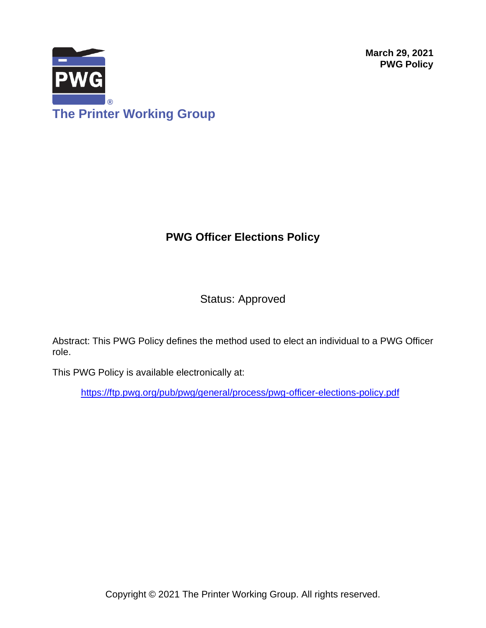**March 29, 2021 PWG Policy**



# **PWG Officer Elections Policy**

Status: Approved

Abstract: This PWG Policy defines the method used to elect an individual to a PWG Officer role.

This PWG Policy is available electronically at:

<https://ftp.pwg.org/pub/pwg/general/process/pwg-officer-elections-policy.pdf>

Copyright © 2021 The Printer Working Group. All rights reserved.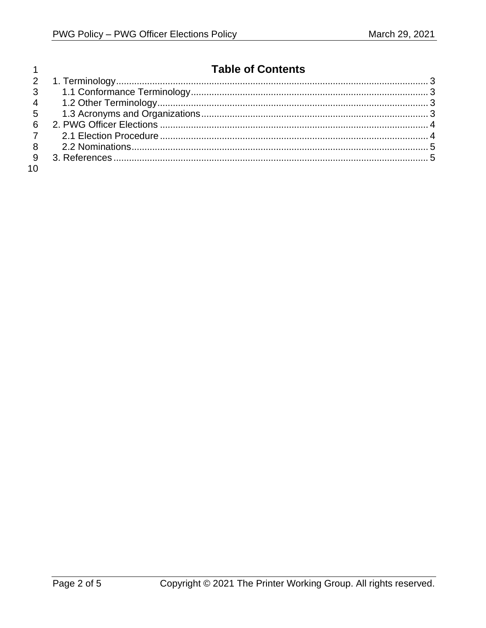|    | <b>Table of Contents</b> |  |  |
|----|--------------------------|--|--|
|    |                          |  |  |
|    |                          |  |  |
|    |                          |  |  |
|    |                          |  |  |
|    |                          |  |  |
|    |                          |  |  |
|    |                          |  |  |
|    |                          |  |  |
| 10 |                          |  |  |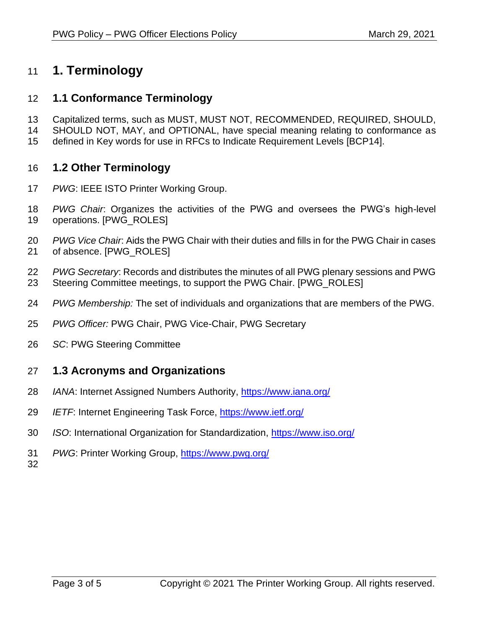# <span id="page-2-0"></span>**1. Terminology**

## <span id="page-2-1"></span>**1.1 Conformance Terminology**

- Capitalized terms, such as MUST, MUST NOT, RECOMMENDED, REQUIRED, SHOULD,
- SHOULD NOT, MAY, and OPTIONAL, have special meaning relating to conformance as
- <span id="page-2-2"></span>defined in Key words for use in RFCs to Indicate Requirement Levels [\[BCP14\].](#page-4-2)

## **1.2 Other Terminology**

- *PWG*: IEEE ISTO Printer Working Group.
- *PWG Chair*: Organizes the activities of the PWG and oversees the PWG's high-level operations. [\[PWG\\_ROLES\]](#page-4-3)
- *PWG Vice Chair*: Aids the PWG Chair with their duties and fills in for the PWG Chair in cases of absence. [\[PWG\\_ROLES\]](#page-4-3)
- *PWG Secretary*: Records and distributes the minutes of all PWG plenary sessions and PWG
- 23 Steering Committee meetings, to support the PWG Chair. [\[PWG\\_ROLES\]](#page-4-3)
- *PWG Membership:* The set of individuals and organizations that are members of the PWG.
- *PWG Officer:* PWG Chair, PWG Vice-Chair, PWG Secretary
- <span id="page-2-3"></span>*SC*: PWG Steering Committee

## **1.3 Acronyms and Organizations**

- *IANA*: Internet Assigned Numbers Authority,<https://www.iana.org/>
- *IETF*: Internet Engineering Task Force,<https://www.ietf.org/>
- *ISO*: International Organization for Standardization,<https://www.iso.org/>
- *PWG*: Printer Working Group,<https://www.pwg.org/>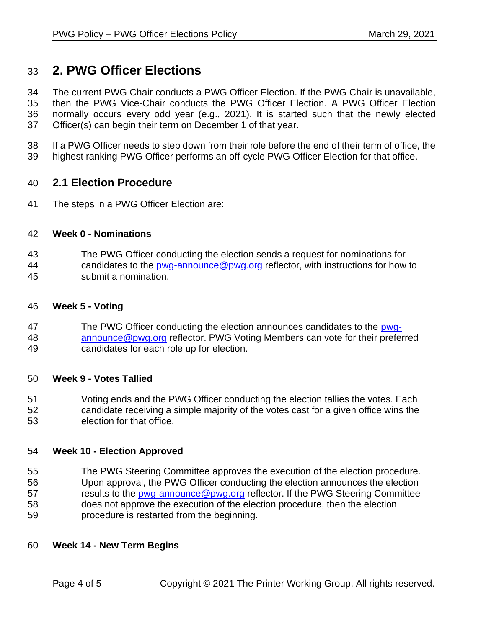## <span id="page-3-0"></span>**2. PWG Officer Elections**

The current PWG Chair conducts a PWG Officer Election. If the PWG Chair is unavailable,

 then the PWG Vice-Chair conducts the PWG Officer Election. A PWG Officer Election normally occurs every odd year (e.g., 2021). It is started such that the newly elected Officer(s) can begin their term on December 1 of that year.

 If a PWG Officer needs to step down from their role before the end of their term of office, the highest ranking PWG Officer performs an off-cycle PWG Officer Election for that office.

### <span id="page-3-1"></span>**2.1 Election Procedure**

The steps in a PWG Officer Election are:

#### **Week 0 - Nominations**

 The PWG Officer conducting the election sends a request for nominations for 44 candidates to the [pwg-announce@pwg.org](mailto:pwg-announce@pwg.org?subject=PWG%20Officer%20Election:%20Call%20for%20Nominations) reflector, with instructions for how to submit a nomination.

#### **Week 5 - Voting**

- 47 The PWG Officer conducting the election announces candidates to the [pwg-](mailto:pwg-announce@pwg.org?subject=PWG%20Officer%20Election:%20Cast%20your%20vote)
- [announce@pwg.org](mailto:pwg-announce@pwg.org?subject=PWG%20Officer%20Election:%20Cast%20your%20vote) reflector. PWG Voting Members can vote for their preferred candidates for each role up for election.

#### **Week 9 - Votes Tallied**

 Voting ends and the PWG Officer conducting the election tallies the votes. Each candidate receiving a simple majority of the votes cast for a given office wins the election for that office.

#### **Week 10 - Election Approved**

 The PWG Steering Committee approves the execution of the election procedure. Upon approval, the PWG Officer conducting the election announces the election 57 results to the [pwg-announce@pwg.org](mailto:pwg-announce@pwg.org?subject=PWG%20Officer%20Election:%20Results) reflector. If the PWG Steering Committee does not approve the execution of the election procedure, then the election procedure is restarted from the beginning.

#### **Week 14 - New Term Begins**